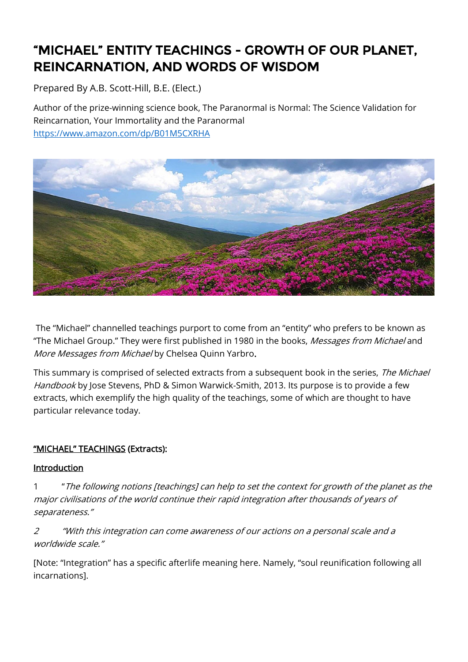# "MICHAEL" ENTITY TEACHINGS - GROWTH OF OUR PLANET, REINCARNATION, AND WORDS OF WISDOM

Prepared By A.B. Scott-Hill, B.E. (Elect.)

Author of the prize-winning science book, The Paranormal is Normal: The Science Validation for Reincarnation, Your Immortality and the Paranormal <https://www.amazon.com/dp/B01M5CXRHA>



 The "Michael" channelled teachings purport to come from an "entity" who prefers to be known as "The Michael Group." They were first published in 1980 in the books, Messages from Michael and More Messages from Michael by Chelsea Quinn Yarbro.

This summary is comprised of selected extracts from a subsequent book in the series, The Michael Handbook by Jose Stevens, PhD & Simon Warwick-Smith, 2013. Its purpose is to provide a few extracts, which exemplify the high quality of the teachings, some of which are thought to have particular relevance today.

## "MICHAEL" TEACHINGS (Extracts):

#### Introduction

1 "The following notions [teachings] can help to set the context for growth of the planet as the major civilisations of the world continue their rapid integration after thousands of years of separateness."

2 "With this integration can come awareness of our actions on a personal scale and a worldwide scale."

[Note: "Integration" has a specific afterlife meaning here. Namely, "soul reunification following all incarnations].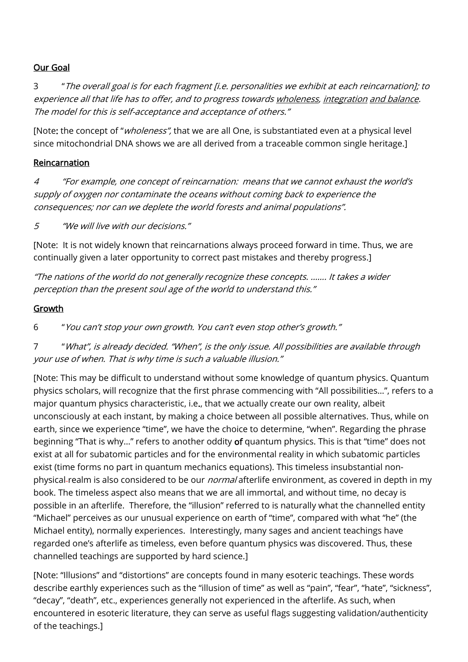### Our Goal

3 "The overall goal is for each fragment [i.e. personalities we exhibit at each reincarnation]; to experience all that life has to offer, and to progress towards wholeness, integration and balance. The model for this is self-acceptance and acceptance of others."

[Note: the concept of "*wholeness"*, that we are all One, is substantiated even at a physical level since mitochondrial DNA shows we are all derived from a traceable common single heritage.]

### Reincarnation

4 "For example, one concept of reincarnation: means that we cannot exhaust the world's supply of oxygen nor contaminate the oceans without coming back to experience the consequences; nor can we deplete the world forests and animal populations".

5 "We will live with our decisions."

[Note: It is not widely known that reincarnations always proceed forward in time. Thus, we are continually given a later opportunity to correct past mistakes and thereby progress.]

"The nations of the world do not generally recognize these concepts. ……. It takes a wider perception than the present soul age of the world to understand this."

### Growth

6 "You can't stop your own growth. You can't even stop other's growth."

7 "What", is already decided. "When", is the only issue. All possibilities are available through your use of when. That is why time is such a valuable illusion."

[Note: This may be difficult to understand without some knowledge of quantum physics. Quantum physics scholars, will recognize that the first phrase commencing with "All possibilities…", refers to a major quantum physics characteristic, i.e., that we actually create our own reality, albeit unconsciously at each instant, by making a choice between all possible alternatives. Thus, while on earth, since we experience "time", we have the choice to determine, "when". Regarding the phrase beginning "That is why…" refers to another oddity of quantum physics. This is that "time" does not exist at all for subatomic particles and for the environmental reality in which subatomic particles exist (time forms no part in quantum mechanics equations). This timeless insubstantial nonphysical-realm is also considered to be our *normal* afterlife environment, as covered in depth in my book. The timeless aspect also means that we are all immortal, and without time, no decay is possible in an afterlife. Therefore, the "illusion" referred to is naturally what the channelled entity "Michael" perceives as our unusual experience on earth of "time", compared with what "he" (the Michael entity), normally experiences. Interestingly, many sages and ancient teachings have regarded one's afterlife as timeless, even before quantum physics was discovered. Thus, these channelled teachings are supported by hard science.]

[Note: "Illusions" and "distortions" are concepts found in many esoteric teachings. These words describe earthly experiences such as the "illusion of time" as well as "pain", "fear", "hate", "sickness", "decay", "death", etc., experiences generally not experienced in the afterlife. As such, when encountered in esoteric literature, they can serve as useful flags suggesting validation/authenticity of the teachings.]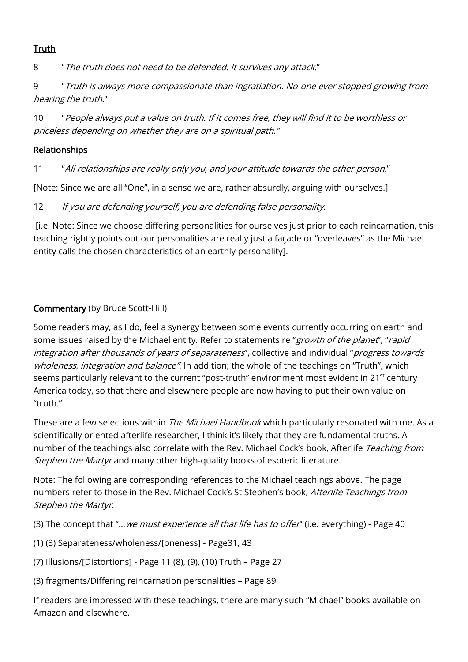## **Truth**

8 "The truth does not need to be defended. It survives any attack."

9 "Truth is always more compassionate than ingratiation. No-one ever stopped growing from hearing the truth."

10 "People always put a value on truth. If it comes free, they will find it to be worthless or priceless depending on whether they are on a spiritual path."

## **Relationships**

11 "All relationships are really only you, and your attitude towards the other person."

[Note: Since we are all "One", in a sense we are, rather absurdly, arguing with ourselves.]

12 If you are defending yourself, you are defending false personality.

[i.e. Note: Since we choose differing personalities for ourselves just prior to each reincarnation, this teaching rightly points out our personalities are really just a façade or "overleaves" as the Michael entity calls the chosen characteristics of an earthly personality].

## Commentary (by Bruce Scott-Hill)

Some readers may, as I do, feel a synergy between some events currently occurring on earth and some issues raised by the Michael entity. Refer to statements re "growth of the planet", "rapid integration after thousands of years of separateness", collective and individual "progress towards wholeness, integration and balance". In addition; the whole of the teachings on "Truth", which seems particularly relevant to the current "post-truth" environment most evident in 21<sup>st</sup> century America today, so that there and elsewhere people are now having to put their own value on "truth."

These are a few selections within *The Michael Handbook* which particularly resonated with me. As a scientifically oriented afterlife researcher, I think it's likely that they are fundamental truths. A number of the teachings also correlate with the Rev. Michael Cock's book, Afterlife Teaching from Stephen the Martyr and many other high-quality books of esoteric literature.

Note: The following are corresponding references to the Michael teachings above. The page numbers refer to those in the Rev. Michael Cock's St Stephen's book, Afterlife Teachings from Stephen the Martyr.

(3) The concept that "... we must experience all that life has to offer" (i.e. everything) - Page 40

- (1) (3) Separateness/wholeness/[oneness] Page31, 43
- (7) Illusions/[Distortions] Page 11 (8), (9), (10) Truth Page 27
- (3) fragments/Differing reincarnation personalities Page 89

If readers are impressed with these teachings, there are many such "Michael" books available on Amazon and elsewhere.